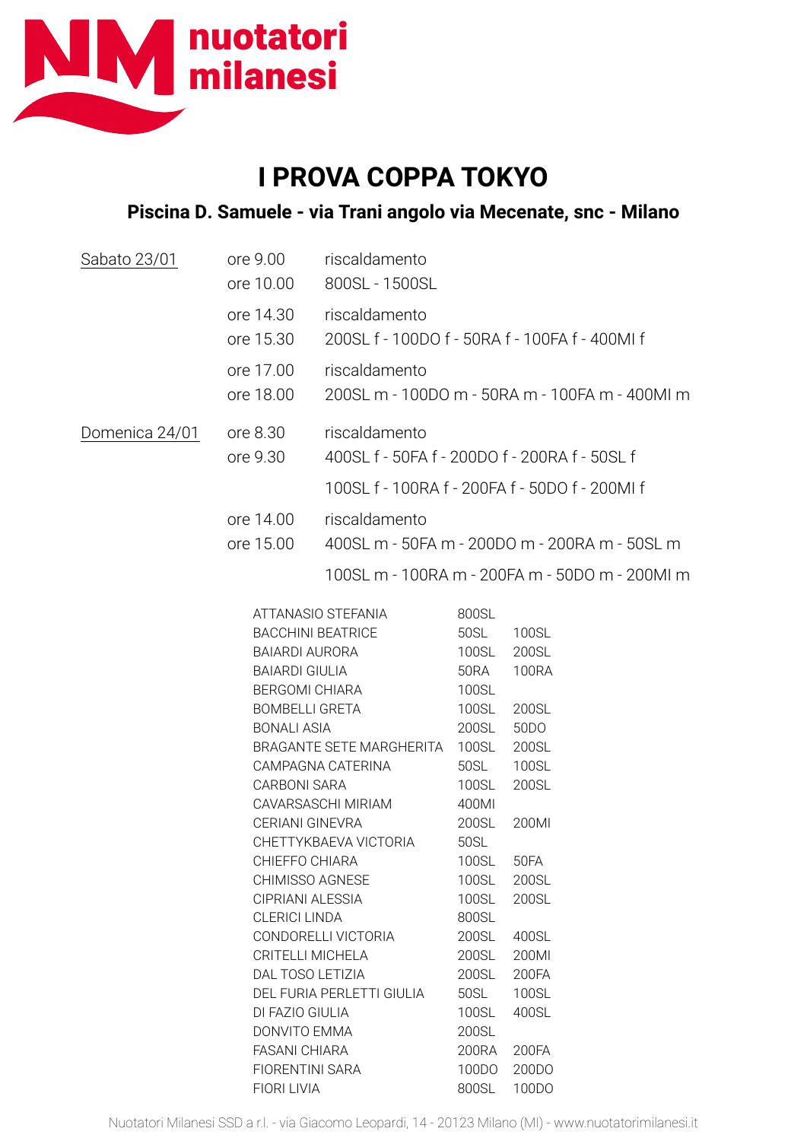

## **I PROVA COPPA TOKYO**

## **Piscina D. Samuele - via Trani angolo via Mecenate, snc - Milano**

| Sabato 23/01   | ore 9.00<br>ore 10.00                                                                                                                                                                 | riscaldamento<br>800SL - 1500SL                                                                                    |                                                                                                               |                                                                                                  |
|----------------|---------------------------------------------------------------------------------------------------------------------------------------------------------------------------------------|--------------------------------------------------------------------------------------------------------------------|---------------------------------------------------------------------------------------------------------------|--------------------------------------------------------------------------------------------------|
|                | ore 14.30<br>ore 15.30                                                                                                                                                                | riscaldamento<br>200SL f - 100DO f - 50RA f - 100FA f - 400MI f                                                    |                                                                                                               |                                                                                                  |
|                | ore 17.00<br>ore 18.00                                                                                                                                                                | riscaldamento<br>200SL m - 100DO m - 50RA m - 100FA m - 400Ml m                                                    |                                                                                                               |                                                                                                  |
| Domenica 24/01 | riscaldamento<br>ore 8.30<br>ore 9.30<br>400SL f - 50FA f - 200DO f - 200RA f - 50SL f                                                                                                |                                                                                                                    |                                                                                                               |                                                                                                  |
|                |                                                                                                                                                                                       | 100SL f - 100RA f - 200FA f - 50DO f - 200MI f                                                                     |                                                                                                               |                                                                                                  |
|                | ore 14.00                                                                                                                                                                             | riscaldamento                                                                                                      |                                                                                                               |                                                                                                  |
|                | ore 15.00                                                                                                                                                                             | 400SL m - 50FA m - 200DO m - 200RA m - 50SL m                                                                      |                                                                                                               |                                                                                                  |
|                |                                                                                                                                                                                       | 100SL m - 100RA m - 200FA m - 50DO m - 200Ml m                                                                     |                                                                                                               |                                                                                                  |
|                | <b>BACCHINI BEATRICE</b><br>BAIARDI AURORA<br><b>BAIARDI GIULIA</b><br><b>BERGOMI CHIARA</b><br><b>BOMBELLI GRETA</b><br><b>BONALI ASIA</b><br><b>CARBONI SARA</b><br>CERIANI GINEVRA | ATTANASIO STEFANIA<br>BRAGANTE SETE MARGHERITA<br>CAMPAGNA CATERINA<br>CAVARSASCHI MIRIAM<br>CHETTYKBAEVA VICTORIA | 800SL<br>50SL<br>100SL<br>50RA<br>100SL<br>100SL<br>200SL<br>100SL<br>50SL<br>100SL<br>400MI<br>200SL<br>50SL | 100SL<br>200SL<br><b>100RA</b><br>200SL<br>50 <sub>D</sub> O<br>200SL<br>100SL<br>200SL<br>200MI |
|                | CHIEFFO CHIARA<br>CHIMISSO AGNESE<br>CIPRIANI ALESSIA<br><b>CLERICI LINDA</b><br>CRITELLI MICHELA<br>DAL TOSO LETIZIA<br>DI FAZIO GIULIA<br>DONVITO EMMA<br><b>FASANI CHIARA</b>      | CONDORELLI VICTORIA<br>DEL FURIA PERLETTI GIULIA                                                                   | 100SL<br>100SL<br>100SL<br>800SL<br>200SL<br>200SL<br>200SL<br>50SL<br>100SL<br>200SL<br>200RA                | 50FA<br>200SL<br>200SL<br>400SL<br>200MI<br>200FA<br>100SL<br>400SL<br>200FA                     |
|                | <b>FIORENTINI SARA</b>                                                                                                                                                                |                                                                                                                    | 100DO                                                                                                         | 200DO                                                                                            |

FIORI LIVIA 800SL 100DO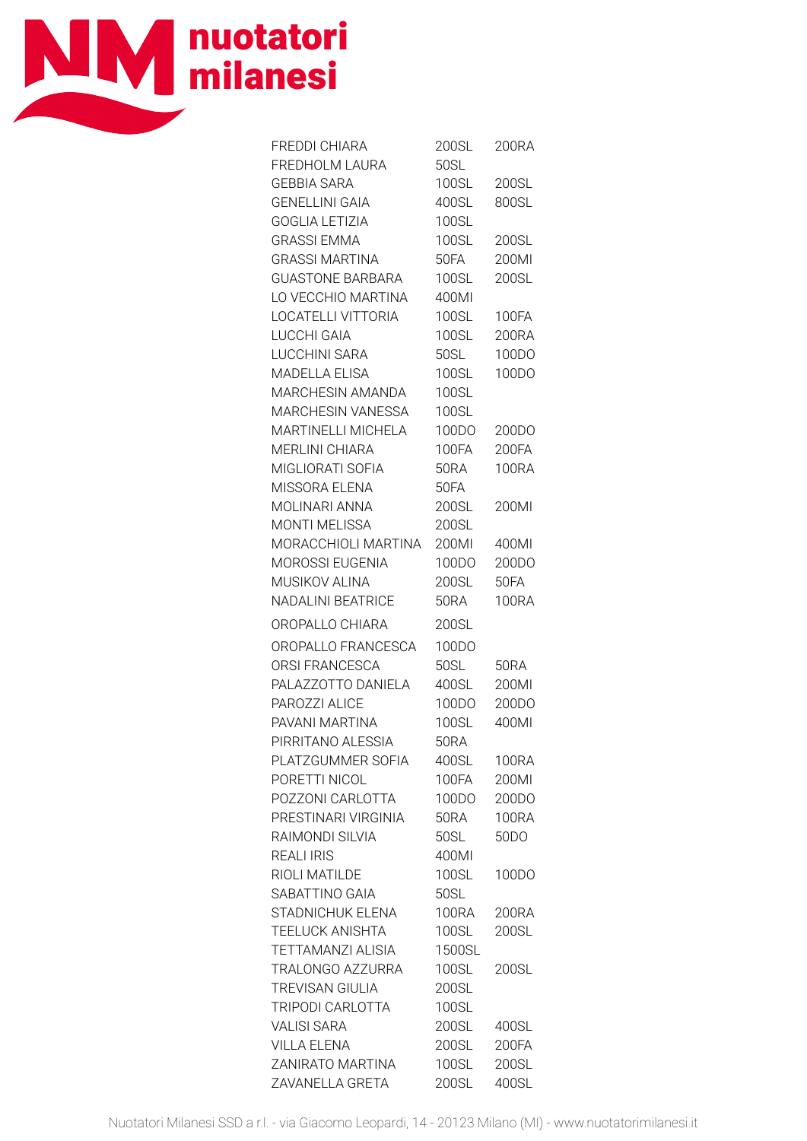

| <b>FREDDI CHIARA</b><br>FREDHOLM LAURA | 200SL<br>50SL | 200RA             |
|----------------------------------------|---------------|-------------------|
| <b>GEBBIA SARA</b>                     | 100SL         | 200SL             |
| <b>GENELLINI GAIA</b>                  | 400SL         | 800SL             |
| <b>GOGLIA LETIZIA</b>                  | 100SL         |                   |
| <b>GRASSI EMMA</b>                     | 100SL         | 200SL             |
| <b>GRASSI MARTINA</b>                  | 50FA          | 200MI             |
| <b>GUASTONE BARBARA</b>                | 100SL         | 200SL             |
| LO VECCHIO MARTINA                     | 400MI         |                   |
|                                        |               |                   |
| LOCATELLI VITTORIA                     | 100SL         | <b>100FA</b>      |
| LUCCHI GAIA                            | 100SL         | 200RA             |
| LUCCHINI SARA                          | 50SL          | 100DO             |
| MADELLA ELISA                          | 100SL         | 100DO             |
| <b>MARCHESIN AMANDA</b>                | 100SL         |                   |
| MARCHESIN VANESSA                      | 100SL         |                   |
| <b>MARTINELLI MICHELA</b>              | 100DO         | 200DO             |
| <b>MERLINI CHIARA</b>                  | 100FA         | 200FA             |
| MIGLIORATI SOFIA                       | <b>50RA</b>   | 100RA             |
| MISSORA ELENA                          | 50FA          |                   |
| MOLINARI ANNA                          | 200SL         | 200MI             |
| <b>MONTI MELISSA</b>                   | 200SL         |                   |
| MORACCHIOLI MARTINA                    | 200MI         | 400MI             |
| MOROSSI EUGENIA                        | 100DO         | 200DO             |
| MUSIKOV ALINA                          | 200SL         | 50FA              |
| <b>NADALINI BEATRICE</b>               | <b>50RA</b>   | <b>100RA</b>      |
|                                        |               |                   |
| OROPALLO CHIARA                        | 200SL         |                   |
| OROPALLO FRANCESCA                     | 100DO         |                   |
| ORSI FRANCESCA                         | 50SL          | 50RA              |
| PALAZZOTTO DANIELA                     | 400SL         | 200MI             |
| PAROZZI ALICE                          | 100DO         | 200DO             |
| PAVANI MARTINA                         | 100SL         | 400MI             |
| PIRRITANO ALESSIA                      | <b>50RA</b>   |                   |
| PLATZGUMMER SOFIA                      | 400SL         | <b>100RA</b>      |
| PORETTI NICOL                          | <b>100FA</b>  | 200MI             |
| POZZONI CARLOTTA                       | 100DO         | 200DO             |
| PRESTINARI VIRGINIA                    | <b>50RA</b>   | <b>100RA</b>      |
| RAIMONDI SILVIA                        | 50SL          | 50 <sub>D</sub> O |
| <b>REALI IRIS</b>                      | 400MI         |                   |
| RIOLI MATILDE                          | 100SL         | 100DO             |
| SABATTINO GAIA                         | 50SL          |                   |
| STADNICHUK ELENA                       | <b>100RA</b>  | 200RA             |
| <b>TEELUCK ANISHTA</b>                 | <b>100SL</b>  | 200SL             |
| <b>TETTAMANZI ALISIA</b>               | 1500SL        |                   |
| TRALONGO AZZURRA                       | 100SL         | 200SL             |
| <b>TREVISAN GIULIA</b>                 | 200SL         |                   |
| TRIPODI CARLOTTA                       | 100SL         |                   |
| <b>VALISI SARA</b>                     | 200SL         | 400SL             |
| <b>VILLA ELENA</b>                     | 200SL         | 200FA             |
| ZANIRATO MARTINA                       | <b>100SL</b>  | 200SL             |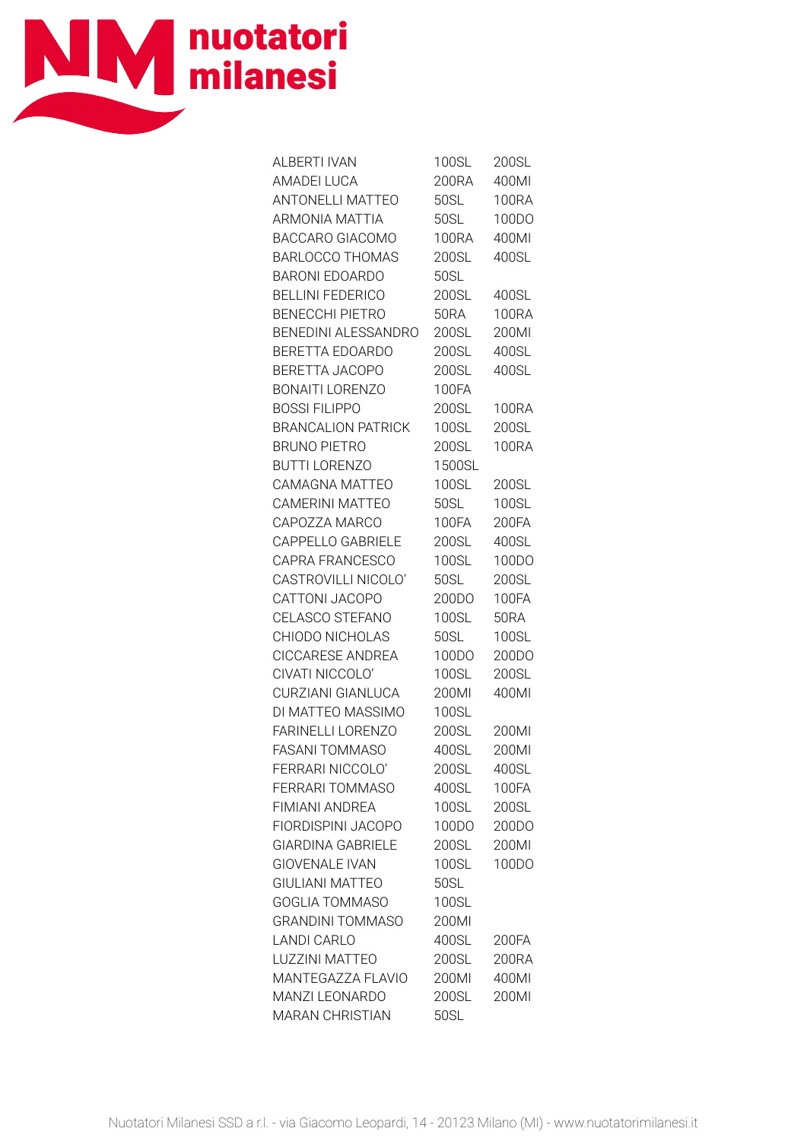

| AI BERTI IVAN             | 100SL        | 200SL        |
|---------------------------|--------------|--------------|
| <b>AMADEI LUCA</b>        | 200RA        | 400MI        |
| ANTONELLI MATTEO          | 50SL         | <b>100RA</b> |
| ARMONIA MATTIA            | <b>50SL</b>  | 100DO        |
| BACCARO GIACOMO           | <b>100RA</b> | 400MI        |
| <b>BARLOCCO THOMAS</b>    | 200SL        | 400SL        |
| <b>BARONI EDOARDO</b>     | 50SL         |              |
| <b>BELLINI FEDERICO</b>   | 200SL        | 400SL        |
| <b>BENECCHI PIETRO</b>    | <b>50RA</b>  | <b>100RA</b> |
| BENEDINI ALESSANDRO       | 200SL        | 200MI        |
| BERETTA EDOARDO           | 200SL        | 400SL        |
| BERETTA JACOPO            | 200SL        | 400SL        |
| <b>BONAITI LORENZO</b>    | 100FA        |              |
| <b>BOSSI FILIPPO</b>      | 200SL        | 100RA        |
| <b>BRANCALION PATRICK</b> | 100SL        | 200SL        |
| <b>BRUNO PIETRO</b>       | 200SL        | <b>100RA</b> |
| BUTTI LORENZO             | 1500SL       |              |
| CAMAGNA MATTEO            | 100SL        | 200SL        |
| CAMERINI MATTEO           | 50SL         | 100SL        |
| CAPOZZA MARCO             | 100FA        | 200FA        |
| CAPPELLO GABRIELE         | 200SL        | 400SL        |
| CAPRA FRANCESCO           | 100SL        | 100DO        |
| CASTROVILLI NICOLO'       | 50SL         | 200SL        |
| CATTONI JACOPO            | 200DO        | <b>100FA</b> |
| CELASCO STEFANO           | 100SL        | <b>50RA</b>  |
| CHIODO NICHOLAS           | 50SL         | 100SL        |
| CICCARESE ANDREA          | 100DO        | 200DO        |
| CIVATI NICCOLO'           | 100SL        | 200SL        |
| CURZIANI GIANLUCA         | 200MI        | 400MI        |
| DI MATTEO MASSIMO         | 100SL        |              |
| <b>FARINELLI LORENZO</b>  | 200SL        | 200MI        |
| <b>FASANI TOMMASO</b>     | 400SL        | 200Ml        |
| FERRARI NICCOLO'          | 200SL        | 400SL        |
| FERRARI TOMMASO           | 400SL        | 100FA        |
| FIMIANI ANDREA            | 100SL        | 200SL        |
| FIORDISPINI JACOPO        | 100DO        | 200DO        |
| <b>GIARDINA GABRIELE</b>  | 200SL        | 200MI        |
| <b>GIOVENALE IVAN</b>     | 100SL        | 100DO        |
| <b>GIULIANI MATTEO</b>    | 50SL         |              |
| <b>GOGLIA TOMMASO</b>     | 100SL        |              |
| <b>GRANDINI TOMMASO</b>   | 200MI        |              |
| <b>LANDI CARLO</b>        | 400SL        | 200FA        |
| LUZZINI MATTEO            | 200SL        | 200RA        |
| MANTEGAZZA FLAVIO         | 200MI        | 400MI        |
| MANZI LEONARDO            | 200SL        | 200MI        |
| <b>MARAN CHRISTIAN</b>    | 50SL         |              |